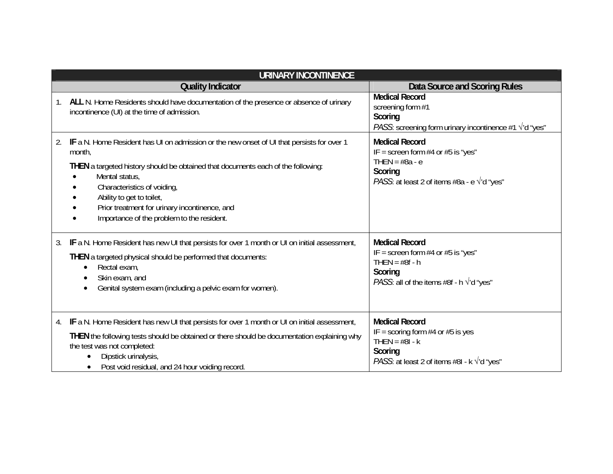| <b>URINARY INCONTINENCE</b> |                                                                                                                                                                                                                                                                                                                                                                      |                                                                                                                                                             |  |  |
|-----------------------------|----------------------------------------------------------------------------------------------------------------------------------------------------------------------------------------------------------------------------------------------------------------------------------------------------------------------------------------------------------------------|-------------------------------------------------------------------------------------------------------------------------------------------------------------|--|--|
|                             | <b>Quality Indicator</b>                                                                                                                                                                                                                                                                                                                                             | Data Source and Scoring Rules                                                                                                                               |  |  |
| 1.                          | ALL N. Home Residents should have documentation of the presence or absence of urinary<br>incontinence (UI) at the time of admission.                                                                                                                                                                                                                                 | <b>Medical Record</b><br>screening form #1<br>Scoring<br><i>PASS</i> : screening form urinary incontinence #1 $\sqrt{d}$ "yes"                              |  |  |
| 2.                          | IF a N. Home Resident has UI on admission or the new onset of UI that persists for over 1<br>month,<br>THEN a targeted history should be obtained that documents each of the following:<br>Mental status,<br>Characteristics of voiding,<br>Ability to get to toilet,<br>Prior treatment for urinary incontinence, and<br>Importance of the problem to the resident. | <b>Medical Record</b><br>IF = screen form $#4$ or $#5$ is "yes"<br>THEN = $#8a - e$<br>Scoring<br>PASS: at least 2 of items #8a - e $\sqrt{d}$ "yes"        |  |  |
| 3.                          | IF a N. Home Resident has new UI that persists for over 1 month or UI on initial assessment,<br>THEN a targeted physical should be performed that documents:<br>Rectal exam,<br>Skin exam, and<br>Genital system exam (including a pelvic exam for women).                                                                                                           | <b>Medical Record</b><br>IF = screen form $#4$ or $#5$ is "yes"<br>THEN = $#8f - h$<br>Scoring<br><i>PASS</i> : all of the items #8f - h $\sqrt{d}$ "yes"   |  |  |
| 4.                          | IF a N. Home Resident has new UI that persists for over 1 month or UI on initial assessment,<br>THEN the following tests should be obtained or there should be documentation explaining why<br>the test was not completed:<br>Dipstick urinalysis,<br>Post void residual, and 24 hour voiding record.<br>$\bullet$                                                   | <b>Medical Record</b><br>IF = scoring form $#4$ or $#5$ is yes<br>THEN = $#81 - k$<br>Scoring<br><i>PASS</i> : at least 2 of items #8I - $k \sqrt{d}$ "yes" |  |  |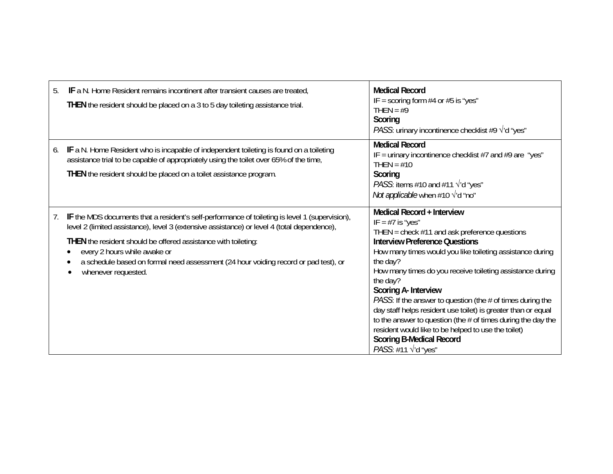| 5. | IF a N. Home Resident remains incontinent after transient causes are treated,<br>THEN the resident should be placed on a 3 to 5 day toileting assistance trial.                                                                                                                                                                                                                                               | <b>Medical Record</b><br>IF = scoring form $#4$ or $#5$ is "yes"<br>THEN = $#9$<br>Scoring<br><i>PASS:</i> urinary incontinence checklist #9 $\sqrt{d}$ "yes"                                                                                                                                                                                                                                                                                                                                                                                                                                                                                                   |
|----|---------------------------------------------------------------------------------------------------------------------------------------------------------------------------------------------------------------------------------------------------------------------------------------------------------------------------------------------------------------------------------------------------------------|-----------------------------------------------------------------------------------------------------------------------------------------------------------------------------------------------------------------------------------------------------------------------------------------------------------------------------------------------------------------------------------------------------------------------------------------------------------------------------------------------------------------------------------------------------------------------------------------------------------------------------------------------------------------|
| 6. | IF a N. Home Resident who is incapable of independent toileting is found on a toileting<br>assistance trial to be capable of appropriately using the toilet over 65% of the time,<br>THEN the resident should be placed on a toilet assistance program.                                                                                                                                                       | <b>Medical Record</b><br>IF = urinary incontinence checklist $#7$ and $#9$ are "yes"<br>THEN = $#10$<br>Scoring<br><i>PASS:</i> items #10 and #11 $\sqrt{d}$ "yes"<br><i>Not applicable</i> when #10 $\sqrt{d}$ "no"                                                                                                                                                                                                                                                                                                                                                                                                                                            |
| 7. | IF the MDS documents that a resident's self-performance of toileting is level 1 (supervision),<br>level 2 (limited assistance), level 3 (extensive assistance) or level 4 (total dependence),<br>THEN the resident should be offered assistance with toileting:<br>every 2 hours while awake or<br>a schedule based on formal need assessment (24 hour voiding record or pad test), or<br>whenever requested. | Medical Record + Interview<br>IF = $#7$ is "yes"<br>THEN = check $#11$ and ask preference questions<br><b>Interview Preference Questions</b><br>How many times would you like toileting assistance during<br>the day?<br>How many times do you receive toileting assistance during<br>the day?<br>Scoring A- Interview<br><i>PASS</i> : If the answer to question (the # of times during the<br>day staff helps resident use toilet) is greater than or equal<br>to the answer to question (the $#$ of times during the day the<br>resident would like to be helped to use the toilet)<br><b>Scoring B-Medical Record</b><br><i>PASS</i> : #11 $\sqrt{d}$ "yes" |